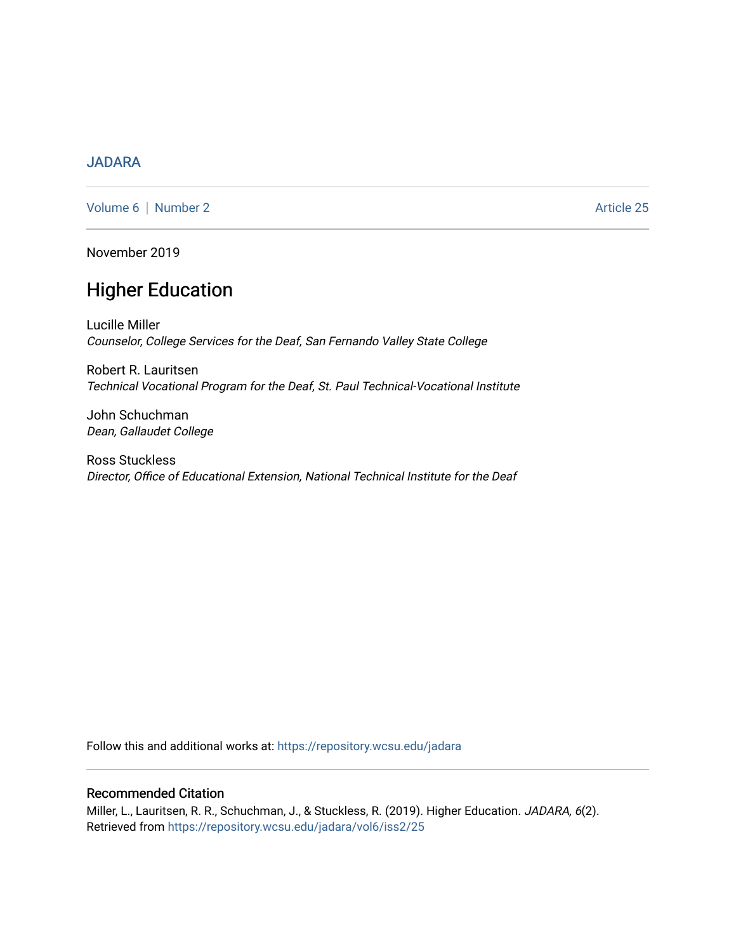### [JADARA](https://repository.wcsu.edu/jadara)

[Volume 6](https://repository.wcsu.edu/jadara/vol6) | [Number 2](https://repository.wcsu.edu/jadara/vol6/iss2) Article 25

November 2019

# Higher Education

Lucille Miller Counselor, College Services for the Deaf, San Fernando Valley State College

Robert R. Lauritsen Technical Vocational Program for the Deaf, St. Paul Technical-Vocational Institute

John Schuchman Dean, Gallaudet College

Ross Stuckless Director, Office of Educational Extension, National Technical Institute for the Deaf

Follow this and additional works at: [https://repository.wcsu.edu/jadara](https://repository.wcsu.edu/jadara?utm_source=repository.wcsu.edu%2Fjadara%2Fvol6%2Fiss2%2F25&utm_medium=PDF&utm_campaign=PDFCoverPages)

#### Recommended Citation

Miller, L., Lauritsen, R. R., Schuchman, J., & Stuckless, R. (2019). Higher Education. JADARA, 6(2). Retrieved from [https://repository.wcsu.edu/jadara/vol6/iss2/25](https://repository.wcsu.edu/jadara/vol6/iss2/25?utm_source=repository.wcsu.edu%2Fjadara%2Fvol6%2Fiss2%2F25&utm_medium=PDF&utm_campaign=PDFCoverPages)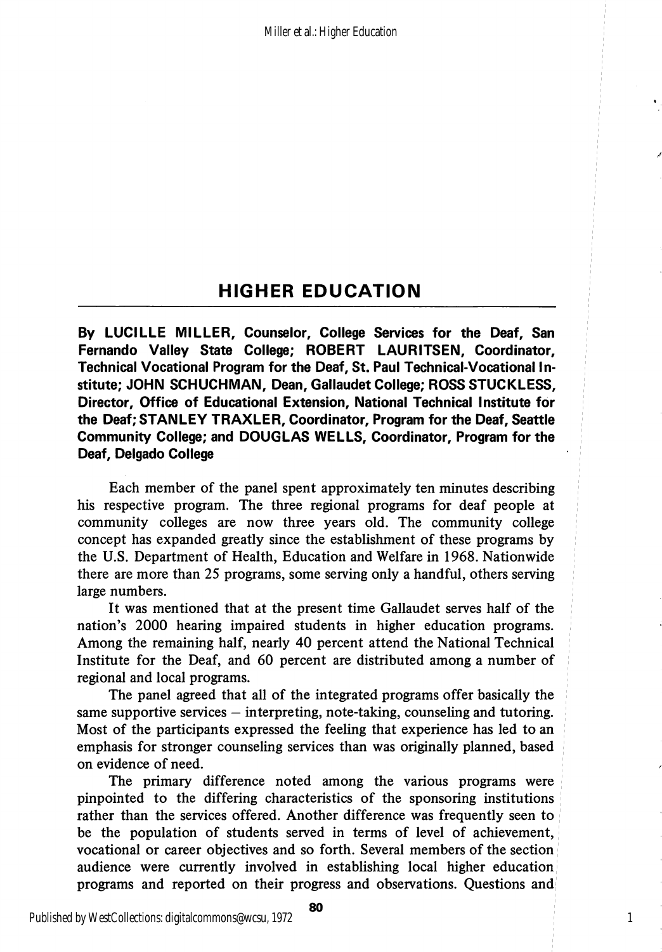## HIGHER EDUCATION

By LUCILLE MILLER, Counselor, College Services for the Deaf, San Fernando Valley State College; ROBERT LAURITSEN, Coordinator, Technical Vocational Program for the Deaf, St. Paul Technical-Vocational In stitute; JOHN SCHUCHMAN, Dean, Gallaudet College; ROSS STUCKLESS, Director, Office of Educational Extension, National Technical Institute for the Deaf; STANLEY TRAXLER, Coordinator, Program for the Deaf, Seattle Community College; and DOUGLAS WELLS, Coordinator, Program for the Deaf, Delgado College

Each member of the panel spent approximately ten minutes describing his respective program. The three regional programs for deaf people at community colleges are now three years old. The community college concept has expanded greatly since the establishment of these programs by the U.S. Department of Health, Education and Welfare in 1968. Nationwide there are more than 25 programs, some serving only a handful, others serving large numbers.

It was mentioned that at the present time Gallaudet serves half of the nation's 2000 hearing impaired students in higher education programs. Among the remaining half, nearly 40 percent attend the National Technical Institute for the Deaf, and 60 percent are distributed among a number of regional and local programs.

The panel agreed that all of the integrated programs offer basically the same supportive services — interpreting, note-taking, counseling and tutoring. Most of the participants expressed the feeling that experience has led to an emphasis for stronger counseling services than was originally planned, based on evidence of need.

The primary difference noted among the various programs were pinpointed to the differing characteristics of the sponsoring institutions rather than the services offered. Another difference was frequently seen to be the population of students served in terms of level of achievement, vocational or career objectives and so forth. Several members of the section audience were currently involved in establishing local higher education programs and reported on their progress and observations. Questions and

1